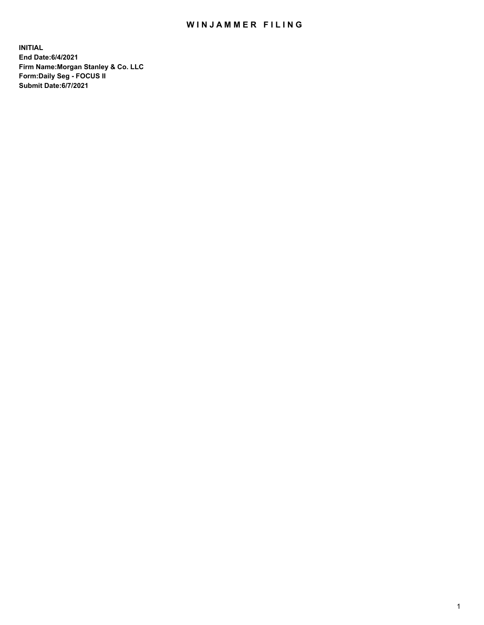## WIN JAMMER FILING

**INITIAL End Date:6/4/2021 Firm Name:Morgan Stanley & Co. LLC Form:Daily Seg - FOCUS II Submit Date:6/7/2021**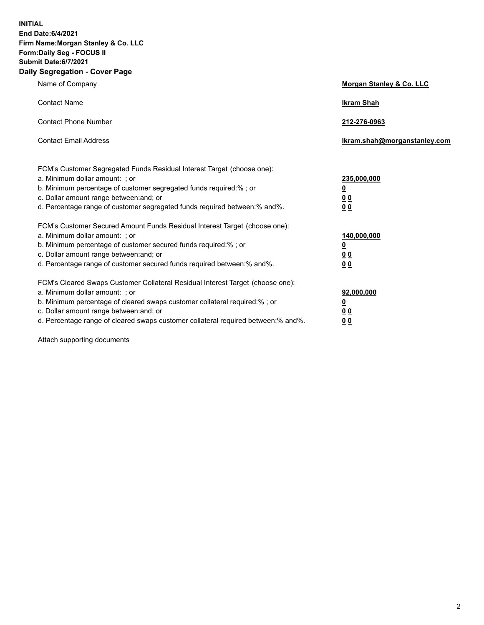**INITIAL End Date:6/4/2021 Firm Name:Morgan Stanley & Co. LLC Form:Daily Seg - FOCUS II Submit Date:6/7/2021 Daily Segregation - Cover Page**

| Name of Company                                                                                                                                                                                                                                                                                                                | <b>Morgan Stanley &amp; Co. LLC</b>                     |
|--------------------------------------------------------------------------------------------------------------------------------------------------------------------------------------------------------------------------------------------------------------------------------------------------------------------------------|---------------------------------------------------------|
| <b>Contact Name</b>                                                                                                                                                                                                                                                                                                            | <b>Ikram Shah</b>                                       |
| <b>Contact Phone Number</b>                                                                                                                                                                                                                                                                                                    | 212-276-0963                                            |
| <b>Contact Email Address</b>                                                                                                                                                                                                                                                                                                   | Ikram.shah@morganstanley.com                            |
| FCM's Customer Segregated Funds Residual Interest Target (choose one):<br>a. Minimum dollar amount: ; or<br>b. Minimum percentage of customer segregated funds required:% ; or<br>c. Dollar amount range between: and; or                                                                                                      | 235,000,000<br><u>0</u><br><u>00</u>                    |
| d. Percentage range of customer segregated funds required between:% and%.<br>FCM's Customer Secured Amount Funds Residual Interest Target (choose one):                                                                                                                                                                        | 0 <sup>0</sup>                                          |
| a. Minimum dollar amount: ; or<br>b. Minimum percentage of customer secured funds required:%; or<br>c. Dollar amount range between: and; or<br>d. Percentage range of customer secured funds required between: % and %.                                                                                                        | 140,000,000<br><u>0</u><br><u>0 0</u><br>0 <sub>0</sub> |
| FCM's Cleared Swaps Customer Collateral Residual Interest Target (choose one):<br>a. Minimum dollar amount: ; or<br>b. Minimum percentage of cleared swaps customer collateral required:% ; or<br>c. Dollar amount range between: and; or<br>d. Percentage range of cleared swaps customer collateral required between:% and%. | 92,000,000<br><u>0</u><br>0 Q<br>0 <sub>0</sub>         |

Attach supporting documents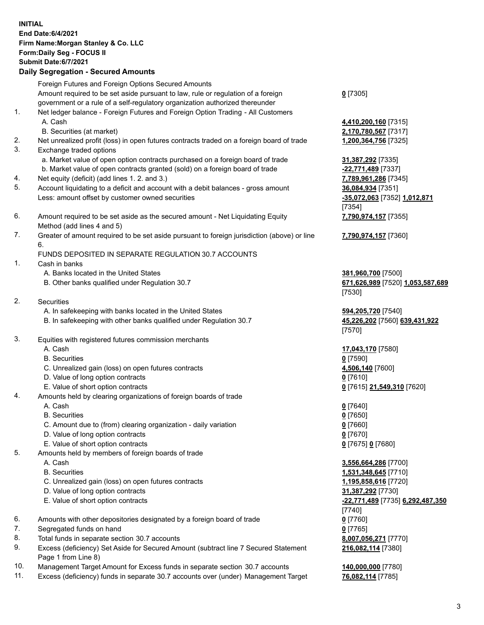|          | <b>INITIAL</b><br>End Date: 6/4/2021<br>Firm Name: Morgan Stanley & Co. LLC<br>Form: Daily Seg - FOCUS II<br><b>Submit Date:6/7/2021</b><br><b>Daily Segregation - Secured Amounts</b>                                  |                                                                  |
|----------|-------------------------------------------------------------------------------------------------------------------------------------------------------------------------------------------------------------------------|------------------------------------------------------------------|
|          |                                                                                                                                                                                                                         |                                                                  |
|          | Foreign Futures and Foreign Options Secured Amounts<br>Amount required to be set aside pursuant to law, rule or regulation of a foreign<br>government or a rule of a self-regulatory organization authorized thereunder | $0$ [7305]                                                       |
| 1.       | Net ledger balance - Foreign Futures and Foreign Option Trading - All Customers<br>A. Cash                                                                                                                              | 4,410,200,160 [7315]                                             |
|          | B. Securities (at market)                                                                                                                                                                                               | 2,170,780,567 [7317]                                             |
| 2.<br>3. | Net unrealized profit (loss) in open futures contracts traded on a foreign board of trade<br>Exchange traded options                                                                                                    | 1,200,364,756 [7325]                                             |
|          | a. Market value of open option contracts purchased on a foreign board of trade                                                                                                                                          | 31,387,292 [7335]                                                |
|          | b. Market value of open contracts granted (sold) on a foreign board of trade<br>Net equity (deficit) (add lines 1. 2. and 3.)                                                                                           | -22,771,489 [7337]                                               |
| 4.<br>5. | Account liquidating to a deficit and account with a debit balances - gross amount                                                                                                                                       | 7,789,961,286 [7345]<br>36,084,934 [7351]                        |
|          | Less: amount offset by customer owned securities                                                                                                                                                                        | -35,072,063 [7352] 1,012,871<br>[7354]                           |
| 6.       | Amount required to be set aside as the secured amount - Net Liquidating Equity<br>Method (add lines 4 and 5)                                                                                                            | 7,790,974,157 [7355]                                             |
| 7.       | Greater of amount required to be set aside pursuant to foreign jurisdiction (above) or line<br>6.                                                                                                                       | 7,790,974,157 [7360]                                             |
|          | FUNDS DEPOSITED IN SEPARATE REGULATION 30.7 ACCOUNTS                                                                                                                                                                    |                                                                  |
| 1.       | Cash in banks                                                                                                                                                                                                           |                                                                  |
|          | A. Banks located in the United States<br>B. Other banks qualified under Regulation 30.7                                                                                                                                 | 381,960,700 [7500]<br>671,626,989 [7520] 1,053,587,689<br>[7530] |
| 2.       | <b>Securities</b>                                                                                                                                                                                                       |                                                                  |
|          | A. In safekeeping with banks located in the United States<br>B. In safekeeping with other banks qualified under Regulation 30.7                                                                                         | 594,205,720 [7540]<br>45,226,202 [7560] 639,431,922              |
| 3.       |                                                                                                                                                                                                                         | [7570]                                                           |
|          | Equities with registered futures commission merchants<br>A. Cash                                                                                                                                                        | 17,043,170 [7580]                                                |
|          | <b>B.</b> Securities                                                                                                                                                                                                    | $0$ [7590]                                                       |
|          | C. Unrealized gain (loss) on open futures contracts                                                                                                                                                                     | 4,506,140 [7600]                                                 |
|          | D. Value of long option contracts                                                                                                                                                                                       | $0$ [7610]                                                       |
|          | E. Value of short option contracts                                                                                                                                                                                      | 0 [7615] 21,549,310 [7620]                                       |
| 4.       | Amounts held by clearing organizations of foreign boards of trade                                                                                                                                                       |                                                                  |
|          | A. Cash                                                                                                                                                                                                                 | $0$ [7640]                                                       |
|          | <b>B.</b> Securities                                                                                                                                                                                                    | $0$ [7650]                                                       |
|          | C. Amount due to (from) clearing organization - daily variation                                                                                                                                                         | $0$ [7660]                                                       |
|          | D. Value of long option contracts                                                                                                                                                                                       | $0$ [7670]                                                       |
|          | E. Value of short option contracts                                                                                                                                                                                      | 0 [7675] 0 [7680]                                                |
| 5.       | Amounts held by members of foreign boards of trade                                                                                                                                                                      |                                                                  |
|          | A. Cash                                                                                                                                                                                                                 | 3,556,664,286 [7700]                                             |
|          | <b>B.</b> Securities                                                                                                                                                                                                    | 1,531,348,645 [7710]                                             |
|          | C. Unrealized gain (loss) on open futures contracts                                                                                                                                                                     | 1,195,858,616 [7720]                                             |
|          | D. Value of long option contracts                                                                                                                                                                                       | 31,387,292 [7730]                                                |
|          | E. Value of short option contracts                                                                                                                                                                                      | -22,771,489 [7735] 6,292,487,350                                 |
|          |                                                                                                                                                                                                                         | [7740]                                                           |
| 6.       | Amounts with other depositories designated by a foreign board of trade                                                                                                                                                  | $0$ [7760]                                                       |
| 7.       | Segregated funds on hand                                                                                                                                                                                                | $0$ [7765]                                                       |
| 8.       | Total funds in separate section 30.7 accounts                                                                                                                                                                           | 8,007,056,271 [7770]                                             |
| 9.       | Excess (deficiency) Set Aside for Secured Amount (subtract line 7 Secured Statement<br>Page 1 from Line 8)                                                                                                              | 216,082,114 [7380]                                               |

- 10. Management Target Amount for Excess funds in separate section 30.7 accounts **140,000,000** [7780]<br>11. Excess (deficiency) funds in separate 30.7 accounts over (under) Management Target 76,082,114 [7785]
- 11. Excess (deficiency) funds in separate 30.7 accounts over (under) Management Target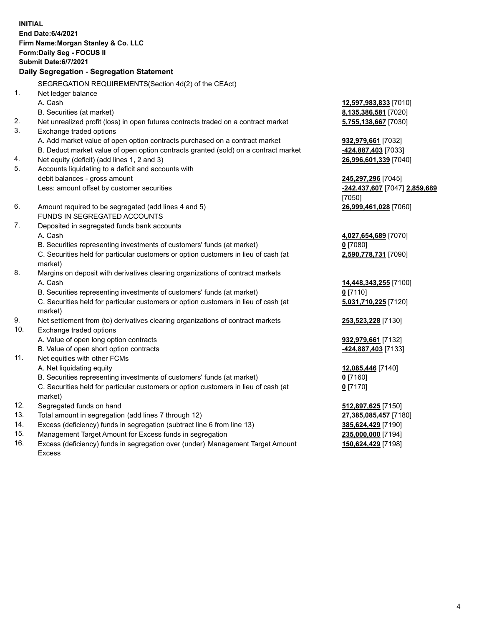|            | <b>INITIAL</b><br>End Date: 6/4/2021<br>Firm Name: Morgan Stanley & Co. LLC<br>Form: Daily Seg - FOCUS II<br>Submit Date: 6/7/2021<br>Daily Segregation - Segregation Statement |                                          |
|------------|---------------------------------------------------------------------------------------------------------------------------------------------------------------------------------|------------------------------------------|
|            | SEGREGATION REQUIREMENTS(Section 4d(2) of the CEAct)                                                                                                                            |                                          |
| 1.         | Net ledger balance                                                                                                                                                              |                                          |
|            | A. Cash                                                                                                                                                                         | 12,597,983,833 [7010]                    |
|            | B. Securities (at market)                                                                                                                                                       | 8,135,386,581 [7020]                     |
| 2.         | Net unrealized profit (loss) in open futures contracts traded on a contract market                                                                                              | 5,755,138,667 [7030]                     |
| 3.         | Exchange traded options                                                                                                                                                         |                                          |
|            | A. Add market value of open option contracts purchased on a contract market                                                                                                     | 932,979,661 [7032]                       |
|            | B. Deduct market value of open option contracts granted (sold) on a contract market                                                                                             | 424,887,403 [7033]                       |
| 4.         | Net equity (deficit) (add lines 1, 2 and 3)                                                                                                                                     | 26,996,601,339 [7040]                    |
| 5.         | Accounts liquidating to a deficit and accounts with                                                                                                                             |                                          |
|            | debit balances - gross amount                                                                                                                                                   | 245,297,296 [7045]                       |
|            | Less: amount offset by customer securities                                                                                                                                      | -242,437,607 [7047] 2,859,689            |
| 6.         | Amount required to be segregated (add lines 4 and 5)                                                                                                                            | [7050]<br>26,999,461,028 [7060]          |
|            | FUNDS IN SEGREGATED ACCOUNTS                                                                                                                                                    |                                          |
| 7.         | Deposited in segregated funds bank accounts                                                                                                                                     |                                          |
|            | A. Cash                                                                                                                                                                         | 4,027,654,689 [7070]                     |
|            | B. Securities representing investments of customers' funds (at market)                                                                                                          | $0$ [7080]                               |
|            | C. Securities held for particular customers or option customers in lieu of cash (at                                                                                             | 2,590,778,731 [7090]                     |
|            | market)                                                                                                                                                                         |                                          |
| 8.         | Margins on deposit with derivatives clearing organizations of contract markets                                                                                                  |                                          |
|            | A. Cash                                                                                                                                                                         | 14,448,343,255 [7100]                    |
|            | B. Securities representing investments of customers' funds (at market)                                                                                                          | $0$ [7110]                               |
|            | C. Securities held for particular customers or option customers in lieu of cash (at                                                                                             | 5,031,710,225 [7120]                     |
|            | market)                                                                                                                                                                         |                                          |
| 9.         | Net settlement from (to) derivatives clearing organizations of contract markets                                                                                                 | 253,523,228 [7130]                       |
| 10.        | Exchange traded options                                                                                                                                                         |                                          |
|            | A. Value of open long option contracts                                                                                                                                          | 932,979,661 [7132]                       |
|            | B. Value of open short option contracts                                                                                                                                         | 424,887,403 [7133]                       |
| 11.        | Net equities with other FCMs                                                                                                                                                    |                                          |
|            | A. Net liquidating equity                                                                                                                                                       | 12,085,446 [7140]                        |
|            | B. Securities representing investments of customers' funds (at market)                                                                                                          | $0$ [7160]                               |
|            | C. Securities held for particular customers or option customers in lieu of cash (at                                                                                             | $0$ [7170]                               |
|            | market)                                                                                                                                                                         |                                          |
| 12.        | Segregated funds on hand                                                                                                                                                        | 512,897,625 [7150]                       |
| 13.<br>14. | Total amount in segregation (add lines 7 through 12)                                                                                                                            | 27,385,085,457 [7180]                    |
| 15.        | Excess (deficiency) funds in segregation (subtract line 6 from line 13)<br>Management Target Amount for Excess funds in segregation                                             | 385,624,429 [7190]<br>235,000,000 [7194] |
| 16.        | Excess (deficiency) funds in segregation over (under) Management Target Amount                                                                                                  | 150,624,429 [7198]                       |
|            |                                                                                                                                                                                 |                                          |

- 15. Management Target Amount for Excess funds in segregation<br>16. Excess (deficiency) funds in segregation over (under) Manag Excess (deficiency) funds in segregation over (under) Management Target Amount
	- Excess